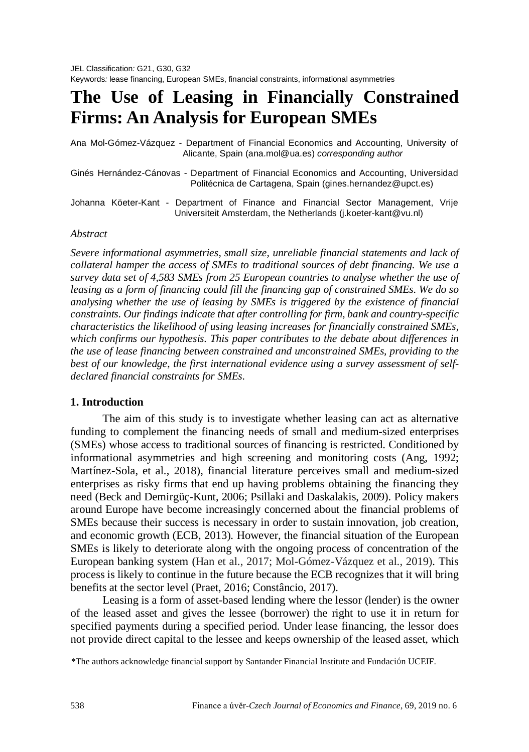# **The Use of Leasing in Financially Constrained Firms: An Analysis for European SMEs**

Ana Mol-Gómez-Vázquez - Department of Financial Economics and Accounting, University of Alicante, Spain (ana.mol@ua.es) *corresponding author*

Ginés Hernández-Cánovas - Department of Financial Economics and Accounting, Universidad Politécnica de Cartagena, Spain (gines.hernandez@upct.es)

Johanna Köeter-Kant - Department of Finance and Financial Sector Management, Vrije Universiteit Amsterdam, the Netherlands (j.koeter-kant@vu.nl)

#### *Abstract*

*Severe informational asymmetries, small size, unreliable financial statements and lack of collateral hamper the access of SMEs to traditional sources of debt financing. We use a survey data set of 4,583 SMEs from 25 European countries to analyse whether the use of leasing as a form of financing could fill the financing gap of constrained SMEs. We do so analysing whether the use of leasing by SMEs is triggered by the existence of financial constraints. Our findings indicate that after controlling for firm, bank and country-specific characteristics the likelihood of using leasing increases for financially constrained SMEs, which confirms our hypothesis. This paper contributes to the debate about differences in the use of lease financing between constrained and unconstrained SMEs, providing to the best of our knowledge, the first international evidence using a survey assessment of selfdeclared financial constraints for SMEs.*

# **1. Introduction**

The aim of this study is to investigate whether leasing can act as alternative funding to complement the financing needs of small and medium-sized enterprises (SMEs) whose access to traditional sources of financing is restricted. Conditioned by informational asymmetries and high screening and monitoring costs (Ang, 1992; Martínez-Sola, et al., 2018), financial literature perceives small and medium-sized enterprises as risky firms that end up having problems obtaining the financing they need (Beck and Demirgüç-Kunt, 2006; Psillaki and Daskalakis, 2009). Policy makers around Europe have become increasingly concerned about the financial problems of SMEs because their success is necessary in order to sustain innovation, job creation, and economic growth (ECB, 2013). However, the financial situation of the European SMEs is likely to deteriorate along with the ongoing process of concentration of the European banking system (Han et al., 2017; Mol-Gómez-Vázquez et al., 2019). This process is likely to continue in the future because the ECB recognizes that it will bring benefits at the sector level (Praet, 2016; Constâncio, 2017).

Leasing is a form of asset-based lending where the lessor (lender) is the owner of the leased asset and gives the lessee (borrower) the right to use it in return for specified payments during a specified period. Under lease financing, the lessor does not provide direct capital to the lessee and keeps ownership of the leased asset, which

<sup>\*</sup>The authors acknowledge financial support by Santander Financial Institute and Fundación UCEIF.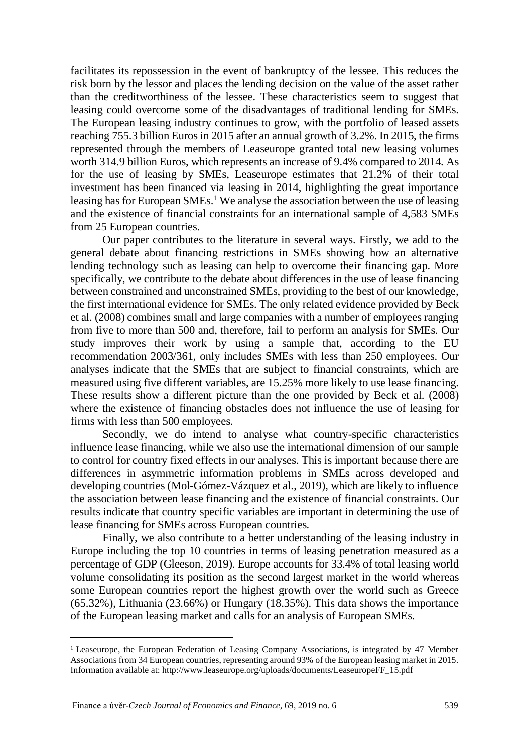facilitates its repossession in the event of bankruptcy of the lessee. This reduces the risk born by the lessor and places the lending decision on the value of the asset rather than the creditworthiness of the lessee. These characteristics seem to suggest that leasing could overcome some of the disadvantages of traditional lending for SMEs. The European leasing industry continues to grow, with the portfolio of leased assets reaching 755.3 billion Euros in 2015 after an annual growth of 3.2%. In 2015, the firms represented through the members of Leaseurope granted total new leasing volumes worth 314.9 billion Euros, which represents an increase of 9.4% compared to 2014. As for the use of leasing by SMEs, Leaseurope estimates that 21.2% of their total investment has been financed via leasing in 2014, highlighting the great importance leasing has for European SMEs.<sup>1</sup> We analyse the association between the use of leasing and the existence of financial constraints for an international sample of 4,583 SMEs from 25 European countries.

Our paper contributes to the literature in several ways. Firstly, we add to the general debate about financing restrictions in SMEs showing how an alternative lending technology such as leasing can help to overcome their financing gap. More specifically, we contribute to the debate about differences in the use of lease financing between constrained and unconstrained SMEs, providing to the best of our knowledge, the first international evidence for SMEs. The only related evidence provided by Beck et al. (2008) combines small and large companies with a number of employees ranging from five to more than 500 and, therefore, fail to perform an analysis for SMEs. Our study improves their work by using a sample that, according to the EU recommendation 2003/361, only includes SMEs with less than 250 employees. Our analyses indicate that the SMEs that are subject to financial constraints, which are measured using five different variables, are 15.25% more likely to use lease financing. These results show a different picture than the one provided by Beck et al. (2008) where the existence of financing obstacles does not influence the use of leasing for firms with less than 500 employees.

Secondly, we do intend to analyse what country-specific characteristics influence lease financing, while we also use the international dimension of our sample to control for country fixed effects in our analyses. This is important because there are differences in asymmetric information problems in SMEs across developed and developing countries (Mol-Gómez-Vázquez et al., 2019), which are likely to influence the association between lease financing and the existence of financial constraints. Our results indicate that country specific variables are important in determining the use of lease financing for SMEs across European countries.

Finally, we also contribute to a better understanding of the leasing industry in Europe including the top 10 countries in terms of leasing penetration measured as a percentage of GDP (Gleeson, 2019). Europe accounts for 33.4% of total leasing world volume consolidating its position as the second largest market in the world whereas some European countries report the highest growth over the world such as Greece (65.32%), Lithuania (23.66%) or Hungary (18.35%). This data shows the importance of the European leasing market and calls for an analysis of European SMEs.

<span id="page-1-0"></span><sup>1</sup> Leaseurope, the European Federation of Leasing Company Associations, is integrated by 47 Member Associations from 34 European countries, representing around 93% of the European leasing market in 2015. Information available at: [http://www.leaseurope.org/uploads/documents/LeaseuropeFF\\_15.pdf](http://www.leaseurope.org/uploads/documents/LeaseuropeFF_15.pdf)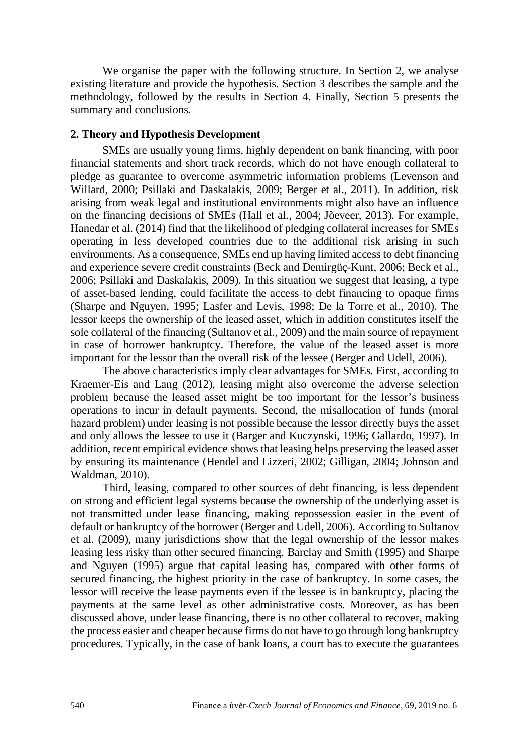We organise the paper with the following structure. In Section 2, we analyse existing literature and provide the hypothesis. Section 3 describes the sample and the methodology, followed by the results in Section 4. Finally, Section 5 presents the summary and conclusions.

# **2. Theory and Hypothesis Development**

SMEs are usually young firms, highly dependent on bank financing, with poor financial statements and short track records, which do not have enough collateral to pledge as guarantee to overcome asymmetric information problems (Levenson and Willard, 2000; Psillaki and Daskalakis, 2009; Berger et al., 2011). In addition, risk arising from weak legal and institutional environments might also have an influence on the financing decisions of SMEs (Hall et al., 2004; Jõeveer, 2013). For example, Hanedar et al. (2014) find that the likelihood of pledging collateral increases for SMEs operating in less developed countries due to the additional risk arising in such environments. As a consequence, SMEs end up having limited access to debt financing and experience severe credit constraints (Beck and Demirgüç-Kunt, 2006; Beck et al., 2006; Psillaki and Daskalakis, 2009). In this situation we suggest that leasing, a type of asset-based lending, could facilitate the access to debt financing to opaque firms (Sharpe and Nguyen, 1995; Lasfer and Levis, 1998; De la Torre et al., 2010). The lessor keeps the ownership of the leased asset, which in addition constitutes itself the sole collateral of the financing (Sultanov et al., 2009) and the main source of repayment in case of borrower bankruptcy. Therefore, the value of the leased asset is more important for the lessor than the overall risk of the lessee (Berger and Udell, 2006).

The above characteristics imply clear advantages for SMEs. First, according to Kraemer-Eis and Lang (2012), leasing might also overcome the adverse selection problem because the leased asset might be too important for the lessor's business operations to incur in default payments. Second, the misallocation of funds (moral hazard problem) under leasing is not possible because the lessor directly buys the asset and only allows the lessee to use it (Barger and Kuczynski, 1996; Gallardo, 1997). In addition, recent empirical evidence shows that leasing helps preserving the leased asset by ensuring its maintenance (Hendel and Lizzeri, 2002; Gilligan, 2004; Johnson and Waldman, 2010).

Third, leasing, compared to other sources of debt financing, is less dependent on strong and efficient legal systems because the ownership of the underlying asset is not transmitted under lease financing, making repossession easier in the event of default or bankruptcy of the borrower (Berger and Udell, 2006). According to Sultanov et al. (2009), many jurisdictions show that the legal ownership of the lessor makes leasing less risky than other secured financing. Barclay and Smith (1995) and Sharpe and Nguyen (1995) argue that capital leasing has, compared with other forms of secured financing, the highest priority in the case of bankruptcy. In some cases, the lessor will receive the lease payments even if the lessee is in bankruptcy, placing the payments at the same level as other administrative costs. Moreover, as has been discussed above, under lease financing, there is no other collateral to recover, making the process easier and cheaper because firms do not have to go through long bankruptcy procedures. Typically, in the case of bank loans, a court has to execute the guarantees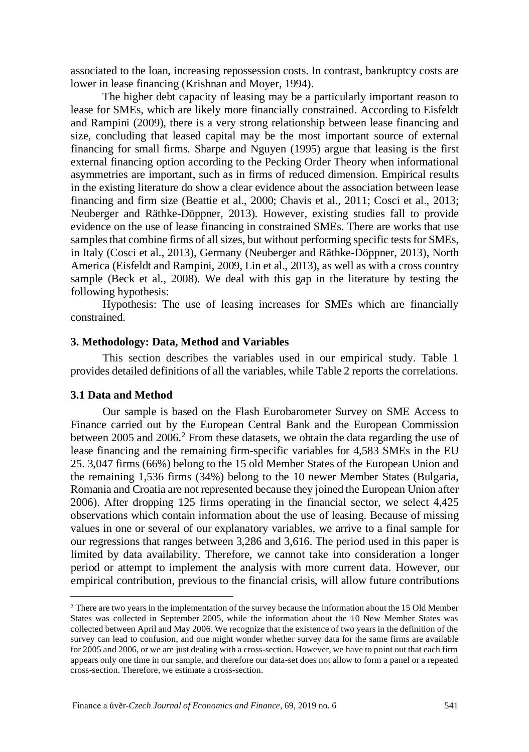associated to the loan, increasing repossession costs. In contrast, bankruptcy costs are lower in lease financing (Krishnan and Moyer, 1994).

The higher debt capacity of leasing may be a particularly important reason to lease for SMEs, which are likely more financially constrained. According to Eisfeldt and Rampini (2009), there is a very strong relationship between lease financing and size, concluding that leased capital may be the most important source of external financing for small firms. Sharpe and Nguyen (1995) argue that leasing is the first external financing option according to the Pecking Order Theory when informational asymmetries are important, such as in firms of reduced dimension. Empirical results in the existing literature do show a clear evidence about the association between lease financing and firm size (Beattie et al., 2000; Chavis et al., 2011; Cosci et al., 2013; Neuberger and Räthke-Döppner, 2013). However, existing studies fall to provide evidence on the use of lease financing in constrained SMEs. There are works that use samples that combine firms of all sizes, but without performing specific tests for SMEs. in Italy (Cosci et al., 2013), Germany (Neuberger and Räthke-Döppner, 2013), North America (Eisfeldt and Rampini, 2009, Lin et al., 2013), as well as with a cross country sample (Beck et al., 2008). We deal with this gap in the literature by testing the following hypothesis:

Hypothesis: The use of leasing increases for SMEs which are financially constrained.

#### **3. Methodology: Data, Method and Variables**

This section describes the variables used in our empirical study. Table 1 provides detailed definitions of all the variables, while Table 2 reports the correlations.

#### **3.1 Data and Method**

Our sample is based on the Flash Eurobarometer Survey on SME Access to Finance carried out by the European Central Bank and the European Commission between [2](#page-3-0)005 and 2006.<sup>2</sup> From these datasets, we obtain the data regarding the use of lease financing and the remaining firm-specific variables for 4,583 SMEs in the EU 25. 3,047 firms (66%) belong to the 15 old Member States of the European Union and the remaining 1,536 firms (34%) belong to the 10 newer Member States (Bulgaria, Romania and Croatia are not represented because they joined the European Union after 2006). After dropping 125 firms operating in the financial sector, we select 4,425 observations which contain information about the use of leasing. Because of missing values in one or several of our explanatory variables, we arrive to a final sample for our regressions that ranges between 3,286 and 3,616. The period used in this paper is limited by data availability. Therefore, we cannot take into consideration a longer period or attempt to implement the analysis with more current data. However, our empirical contribution, previous to the financial crisis, will allow future contributions

<span id="page-3-0"></span><sup>2</sup> There are two years in the implementation of the survey because the information about the 15 Old Member States was collected in September 2005, while the information about the 10 New Member States was collected between April and May 2006. We recognize that the existence of two years in the definition of the survey can lead to confusion, and one might wonder whether survey data for the same firms are available for 2005 and 2006, or we are just dealing with a cross-section. However, we have to point out that each firm appears only one time in our sample, and therefore our data-set does not allow to form a panel or a repeated cross-section. Therefore, we estimate a cross-section.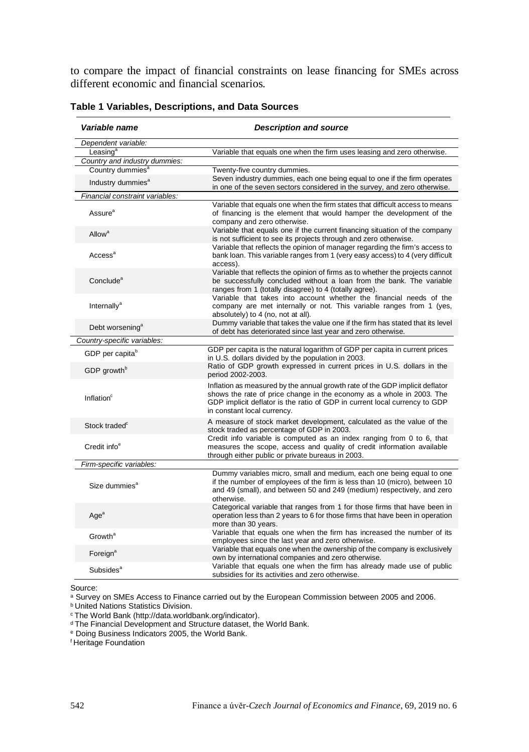to compare the impact of financial constraints on lease financing for SMEs across different economic and financial scenarios.

| Variable name                   | <b>Description and source</b>                                                                                                                                                                                                                                      |
|---------------------------------|--------------------------------------------------------------------------------------------------------------------------------------------------------------------------------------------------------------------------------------------------------------------|
| Dependent variable:             |                                                                                                                                                                                                                                                                    |
| Leasing <sup>a</sup>            | Variable that equals one when the firm uses leasing and zero otherwise.                                                                                                                                                                                            |
| Country and industry dummies:   |                                                                                                                                                                                                                                                                    |
| Country dummies <sup>a</sup>    | Twenty-five country dummies.                                                                                                                                                                                                                                       |
| Industry dummies <sup>a</sup>   | Seven industry dummies, each one being equal to one if the firm operates<br>in one of the seven sectors considered in the survey, and zero otherwise.                                                                                                              |
| Financial constraint variables: |                                                                                                                                                                                                                                                                    |
| Assure <sup>a</sup>             | Variable that equals one when the firm states that difficult access to means<br>of financing is the element that would hamper the development of the<br>company and zero otherwise.                                                                                |
| Allow <sup>a</sup>              | Variable that equals one if the current financing situation of the company<br>is not sufficient to see its projects through and zero otherwise.                                                                                                                    |
| Access <sup>a</sup>             | Variable that reflects the opinion of manager regarding the firm's access to<br>bank loan. This variable ranges from 1 (very easy access) to 4 (very difficult<br>access).                                                                                         |
| Conclude <sup>a</sup>           | Variable that reflects the opinion of firms as to whether the projects cannot<br>be successfully concluded without a loan from the bank. The variable<br>ranges from 1 (totally disagree) to 4 (totally agree).                                                    |
| Internally <sup>a</sup>         | Variable that takes into account whether the financial needs of the<br>company are met internally or not. This variable ranges from 1 (yes,<br>absolutely) to 4 (no, not at all).                                                                                  |
| Debt worsening <sup>a</sup>     | Dummy variable that takes the value one if the firm has stated that its level<br>of debt has deteriorated since last year and zero otherwise.                                                                                                                      |
| Country-specific variables:     |                                                                                                                                                                                                                                                                    |
| GDP per capita <sup>b</sup>     | GDP per capita is the natural logarithm of GDP per capita in current prices<br>in U.S. dollars divided by the population in 2003.                                                                                                                                  |
| GDP growth <sup>b</sup>         | Ratio of GDP growth expressed in current prices in U.S. dollars in the<br>period 2002-2003.                                                                                                                                                                        |
| Inflation <sup>c</sup>          | Inflation as measured by the annual growth rate of the GDP implicit deflator<br>shows the rate of price change in the economy as a whole in 2003. The<br>GDP implicit deflator is the ratio of GDP in current local currency to GDP<br>in constant local currency. |
| Stock traded <sup>c</sup>       | A measure of stock market development, calculated as the value of the<br>stock traded as percentage of GDP in 2003.                                                                                                                                                |
| Credit info <sup>e</sup>        | Credit info variable is computed as an index ranging from 0 to 6, that<br>measures the scope, access and quality of credit information available<br>through either public or private bureaus in 2003.                                                              |
| Firm-specific variables:        |                                                                                                                                                                                                                                                                    |
| Size dummies <sup>a</sup>       | Dummy variables micro, small and medium, each one being equal to one<br>if the number of employees of the firm is less than 10 (micro), between 10<br>and 49 (small), and between 50 and 249 (medium) respectively, and zero<br>otherwise.                         |
| Age <sup>a</sup>                | Categorical variable that ranges from 1 for those firms that have been in<br>operation less than 2 years to 6 for those firms that have been in operation<br>more than 30 years.                                                                                   |
| Growth <sup>a</sup>             | Variable that equals one when the firm has increased the number of its<br>employees since the last year and zero otherwise.                                                                                                                                        |
| Foreign <sup>a</sup>            | Variable that equals one when the ownership of the company is exclusively<br>own by international companies and zero otherwise.                                                                                                                                    |
| Subsides <sup>a</sup>           | Variable that equals one when the firm has already made use of public<br>subsidies for its activities and zero otherwise.                                                                                                                                          |

**Table 1 Variables, Descriptions, and Data Sources**

Source:

a Survey on SMEs Access to Finance carried out by the European Commission between 2005 and 2006.

**b United Nations Statistics Division.** 

<sup>d</sup> The Financial Development and Structure dataset, the World Bank.

<sup>e</sup> Doing Business Indicators 2005, the World Bank.

<sup>f</sup> Heritage Foundation

<sup>c</sup> The World Bank [\(http://data.worldbank.org/indicator\)](http://data.worldbank.org/indicator).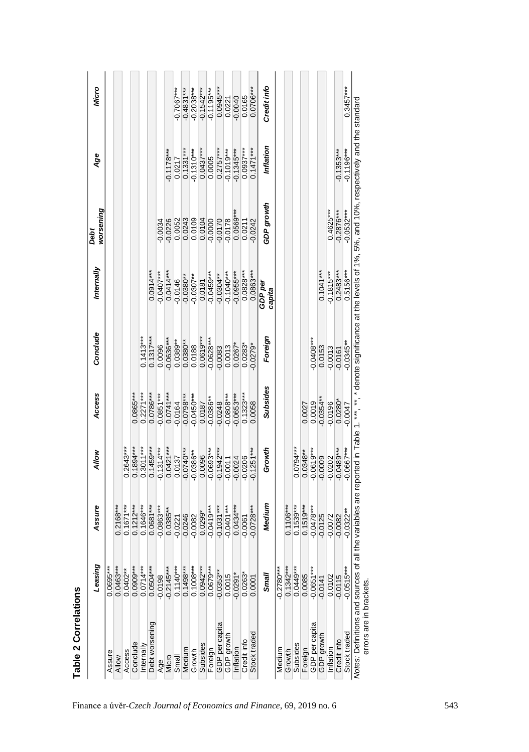| $0.0681***$<br>$-0.0863***$<br>$0.0385**$<br>$-0.0246$<br>$-0.0082$<br>$-0.0221$<br>$*$<br>$0.0504***$<br>$0.1140***$<br>$0.1498***$<br>***<br>$0.0402***$<br>$0.0909***$<br>$0.0714***$<br>$-0.2145***$<br>0.0695<br>0.0463<br>$-0.0198$<br>Debt worsening<br>Conclude<br>nternally<br>Medium<br>Access<br>Assure<br>Micro<br><b>Allow</b><br>Small<br>Age | $0.2168***$<br>$0.1671***$<br>$0.1212***$<br>$0.1646***$ |              |                         |                       |                          | worsening        |                           |                         |
|-------------------------------------------------------------------------------------------------------------------------------------------------------------------------------------------------------------------------------------------------------------------------------------------------------------------------------------------------------------|----------------------------------------------------------|--------------|-------------------------|-----------------------|--------------------------|------------------|---------------------------|-------------------------|
|                                                                                                                                                                                                                                                                                                                                                             |                                                          |              |                         |                       |                          |                  |                           |                         |
|                                                                                                                                                                                                                                                                                                                                                             |                                                          |              |                         |                       |                          |                  |                           |                         |
|                                                                                                                                                                                                                                                                                                                                                             |                                                          | $0.2643***$  |                         |                       |                          |                  |                           |                         |
|                                                                                                                                                                                                                                                                                                                                                             |                                                          | $0.1894***$  | $0.0865***$             |                       |                          |                  |                           |                         |
|                                                                                                                                                                                                                                                                                                                                                             |                                                          | $0.3011***$  | $0.2271***$             | $0.1413***$           |                          |                  |                           |                         |
|                                                                                                                                                                                                                                                                                                                                                             |                                                          | $0.1459***$  | $0.0786***$             | $0.1317***$           | $0.0914***$              |                  |                           |                         |
|                                                                                                                                                                                                                                                                                                                                                             |                                                          | $-0.1314***$ | $-0.0851***$            | 0.0096                | $-0.0407***$             | 0.0034           |                           |                         |
|                                                                                                                                                                                                                                                                                                                                                             |                                                          | $0.0421***$  | $0.0741***$             | $-0.0636***$          | $0.0414***$              | $-0.0226$        | $-0.1178***$              |                         |
|                                                                                                                                                                                                                                                                                                                                                             |                                                          | 0.0137       | $-0.0164$               | $0.0389**$            | $-0.0146$                | 0.0052<br>0.0243 | 0.0217                    | $-0.7067$ ***           |
|                                                                                                                                                                                                                                                                                                                                                             |                                                          | $-0.0740***$ |                         | $0.0380**$            | $-0.0380**$              |                  | $0.1331***$               | $0.4831***$             |
| $0.1008***$<br>Growth                                                                                                                                                                                                                                                                                                                                       |                                                          | $-0.0386**$  | $-0.0798***$            | 0.0188                | $-0.0307**$              | 0.0109           | $-0.1310***$              | $0.2038***$             |
| $0.0299*$<br>$0.0942***$<br>Subsides                                                                                                                                                                                                                                                                                                                        |                                                          | 0.0096       |                         | $0.0619***$           |                          | 0.0104           | $0.0437***$               | $-0.1542***$            |
| $-0.0419***$<br>$0.0679***$                                                                                                                                                                                                                                                                                                                                 |                                                          | $-0.0693***$ | $0.0187$<br>$-0.0386**$ | $-0.0628***$          | $0.0181$<br>$-0.0459***$ | $-0.0000$        | 0.0005                    | $-0.1195***$            |
| $-0.1031***$<br>$*$<br>$-0.0353$<br>Foreign<br>GDP per capita<br>GDP growth                                                                                                                                                                                                                                                                                 |                                                          | $-0.1942***$ | $-0.0248$               | $-0.0083$             | $-0.0304**$              |                  | $0.2757***$<br>-0.1019*** |                         |
| $-0.0401***$<br>0.0015                                                                                                                                                                                                                                                                                                                                      |                                                          | $-0.0011$    | $-0.0808***$            | 0.0013                |                          | 0.0178           |                           | $0.0945***$<br>$0.0221$ |
| $-0.0291$<br>Inflation                                                                                                                                                                                                                                                                                                                                      | $0.0434***$                                              | $-0.0024$    | $-0.0653***$            | $0.0267$ <sup>*</sup> | $-0.0955***$             | $0.0569**$       | $-0.1345***$              | 0.0040                  |
| 0.0061<br>0.0263<br>Credit info                                                                                                                                                                                                                                                                                                                             |                                                          | 0.0206       | $0.1323***$             | $0.0283*$             | $0.0828***$              | 0.0211           | $0.0937***$               | 0.0165                  |
| $-0.0728***$<br>0.0001<br>Stock traded                                                                                                                                                                                                                                                                                                                      |                                                          | $-0.1251***$ | 0.0058                  | $-0.0279$             | $0.0863***$              | $-0.0242$        | $0.1471***$               | $0.0706***$             |
| Smal                                                                                                                                                                                                                                                                                                                                                        | Medium                                                   | Growth       | Subsides                | Foreign               | GDP per<br>capita        | GDP growth       | Inflation                 | Credit info             |
| ***<br>$-0.2780$<br>Medium                                                                                                                                                                                                                                                                                                                                  |                                                          |              |                         |                       |                          |                  |                           |                         |
| ****<br>0.1342<br>Growth                                                                                                                                                                                                                                                                                                                                    | $0.1106***$                                              |              |                         |                       |                          |                  |                           |                         |
| $0.0449***$<br>Subsides                                                                                                                                                                                                                                                                                                                                     | $0.1539***$                                              | $0.0794***$  |                         |                       |                          |                  |                           |                         |
| $0.1519***$<br>0.0085<br>Foreign                                                                                                                                                                                                                                                                                                                            |                                                          | $0.0348***$  | 0.0027                  |                       |                          |                  |                           |                         |
| $-0.0478***$<br>$-0.0651***$<br><b>GDP</b> per capita                                                                                                                                                                                                                                                                                                       |                                                          | $-0.0619***$ | 0.0019                  | $-0.0408***$          |                          |                  |                           |                         |
| $-0.0125$<br>$-0.0141$<br>GDP growth                                                                                                                                                                                                                                                                                                                        |                                                          | $-0.0009$    | $-0.0354$ *             | 0.0153                | $0.1041***$              |                  |                           |                         |
| $-0.0072$<br>0.0102<br>Inflation                                                                                                                                                                                                                                                                                                                            |                                                          | $-0.0202$    | $-0.0196$               | $-0.0013$             | $-0.1815***$             | $0.4625***$      |                           |                         |
| 0.0082<br>$-0.0115$<br>$-0.0515$ <sup>*</sup><br>Credit info                                                                                                                                                                                                                                                                                                |                                                          | $-0.0489***$ | $0.0280^*$              | $-0.0161$             | $0.2483***$              | $-0.2876***$     | $-0.1353***$              |                         |
| $-0.0322**$<br>Stock traded                                                                                                                                                                                                                                                                                                                                 |                                                          | $-0.0667***$ | $-0.0047$               | $-0.0345**$           | $0.5156***$              | $-0.0532***$     | $-0.1196***$              | $0.3457***$             |

Table 2 Correlations **Table 2 Correlations**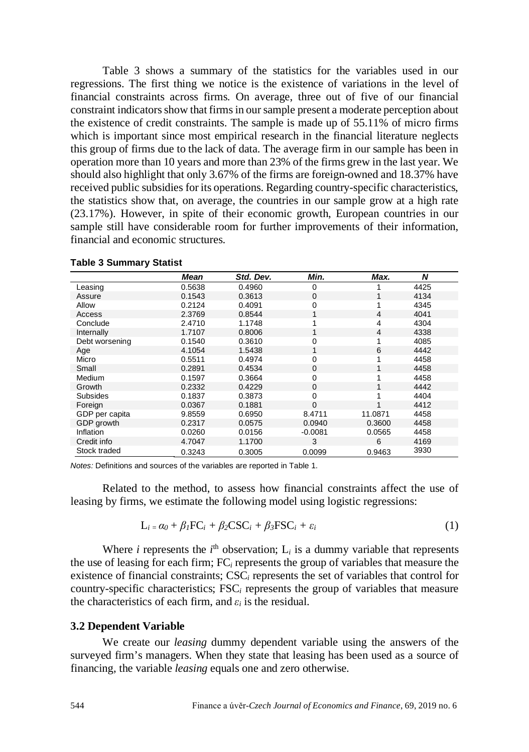Table 3 shows a summary of the statistics for the variables used in our regressions. The first thing we notice is the existence of variations in the level of financial constraints across firms. On average, three out of five of our financial constraint indicators show that firms in our sample present a moderate perception about the existence of credit constraints. The sample is made up of 55.11% of micro firms which is important since most empirical research in the financial literature neglects this group of firms due to the lack of data. The average firm in our sample has been in operation more than 10 years and more than 23% of the firms grew in the last year. We should also highlight that only 3.67% of the firms are foreign-owned and 18.37% have received public subsidies for its operations. Regarding country-specific characteristics, the statistics show that, on average, the countries in our sample grow at a high rate (23.17%). However, in spite of their economic growth, European countries in our sample still have considerable room for further improvements of their information, financial and economic structures.

|                 | Mean   | Std. Dev. | Min.        | Max.           | N    |
|-----------------|--------|-----------|-------------|----------------|------|
| Leasing         | 0.5638 | 0.4960    | 0           |                | 4425 |
| Assure          | 0.1543 | 0.3613    | $\mathbf 0$ |                | 4134 |
| Allow           | 0.2124 | 0.4091    | 0           |                | 4345 |
| Access          | 2.3769 | 0.8544    |             | $\overline{4}$ | 4041 |
| Conclude        | 2.4710 | 1.1748    |             | 4              | 4304 |
| Internally      | 1.7107 | 0.8006    |             | 4              | 4338 |
| Debt worsening  | 0.1540 | 0.3610    | 0           |                | 4085 |
| Age             | 4.1054 | 1.5438    |             | 6              | 4442 |
| Micro           | 0.5511 | 0.4974    | 0           |                | 4458 |
| Small           | 0.2891 | 0.4534    | $\Omega$    |                | 4458 |
| Medium          | 0.1597 | 0.3664    | 0           |                | 4458 |
| Growth          | 0.2332 | 0.4229    | 0           |                | 4442 |
| <b>Subsides</b> | 0.1837 | 0.3873    | 0           |                | 4404 |
| Foreign         | 0.0367 | 0.1881    | $\Omega$    |                | 4412 |
| GDP per capita  | 9.8559 | 0.6950    | 8.4711      | 11.0871        | 4458 |
| GDP growth      | 0.2317 | 0.0575    | 0.0940      | 0.3600         | 4458 |
| Inflation       | 0.0260 | 0.0156    | $-0.0081$   | 0.0565         | 4458 |
| Credit info     | 4.7047 | 1.1700    | 3           | 6              | 4169 |
| Stock traded    | 0.3243 | 0.3005    | 0.0099      | 0.9463         | 3930 |

|  |  | Table 3 Summary Statist |  |
|--|--|-------------------------|--|
|--|--|-------------------------|--|

*Notes:* Definitions and sources of the variables are reported in Table 1.

Related to the method, to assess how financial constraints affect the use of leasing by firms, we estimate the following model using logistic regressions:

$$
L_i = \alpha_0 + \beta_I FC_i + \beta_2 CSC_i + \beta_3 FSC_i + \varepsilon_i
$$
 (1)

Where *i* represents the  $i^{\text{th}}$  observation;  $L_i$  is a dummy variable that represents the use of leasing for each firm; FC*<sup>i</sup>* represents the group of variables that measure the existence of financial constraints; CSC*<sup>i</sup>* represents the set of variables that control for country-specific characteristics; FSC*<sup>i</sup>* represents the group of variables that measure the characteristics of each firm, and  $\varepsilon_i$  is the residual.

# **3.2 Dependent Variable**

We create our *leasing* dummy dependent variable using the answers of the surveyed firm's managers. When they state that leasing has been used as a source of financing, the variable *leasing* equals one and zero otherwise.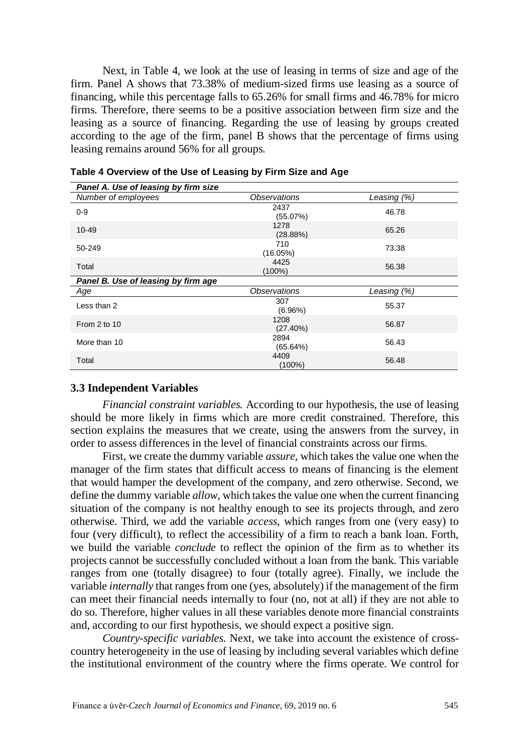Next, in Table 4, we look at the use of leasing in terms of size and age of the firm. Panel A shows that 73.38% of medium-sized firms use leasing as a source of financing, while this percentage falls to 65.26% for small firms and 46.78% for micro firms. Therefore, there seems to be a positive association between firm size and the leasing as a source of financing. Regarding the use of leasing by groups created according to the age of the firm, panel B shows that the percentage of firms using leasing remains around 56% for all groups.

| Number of employees                 | Observations        | Leasing $(\%)$ |
|-------------------------------------|---------------------|----------------|
| $0 - 9$                             | 2437<br>(55.07%)    | 46.78          |
| 10-49                               | 1278<br>(28.88%)    | 65.26          |
| 50-249                              | 710<br>(16.05%)     | 73.38          |
| Total                               | 4425<br>(100%)      | 56.38          |
| Panel B. Use of leasing by firm age |                     |                |
| Age                                 | Observations        | Leasing (%)    |
| Less than 2                         | 307<br>(6.96%)      | 55.37          |
| From 2 to 10                        | 1208<br>$(27.40\%)$ | 56.87          |
| More than 10                        | 2894<br>$(65.64\%)$ | 56.43          |
|                                     |                     |                |

# **3.3 Independent Variables**

*Financial constraint variables.* According to our hypothesis, the use of leasing should be more likely in firms which are more credit constrained. Therefore, this section explains the measures that we create, using the answers from the survey, in order to assess differences in the level of financial constraints across our firms.

First, we create the dummy variable *assure*, which takes the value one when the manager of the firm states that difficult access to means of financing is the element that would hamper the development of the company, and zero otherwise. Second, we define the dummy variable *allow*, which takes the value one when the current financing situation of the company is not healthy enough to see its projects through, and zero otherwise. Third, we add the variable *access*, which ranges from one (very easy) to four (very difficult), to reflect the accessibility of a firm to reach a bank loan. Forth, we build the variable *conclude* to reflect the opinion of the firm as to whether its projects cannot be successfully concluded without a loan from the bank. This variable ranges from one (totally disagree) to four (totally agree). Finally, we include the variable *internally* that ranges from one (yes, absolutely) if the management of the firm can meet their financial needs internally to four (no, not at all) if they are not able to do so. Therefore, higher values in all these variables denote more financial constraints and, according to our first hypothesis, we should expect a positive sign.

*Country-specific variables.* Next, we take into account the existence of crosscountry heterogeneity in the use of leasing by including several variables which define the institutional environment of the country where the firms operate. We control for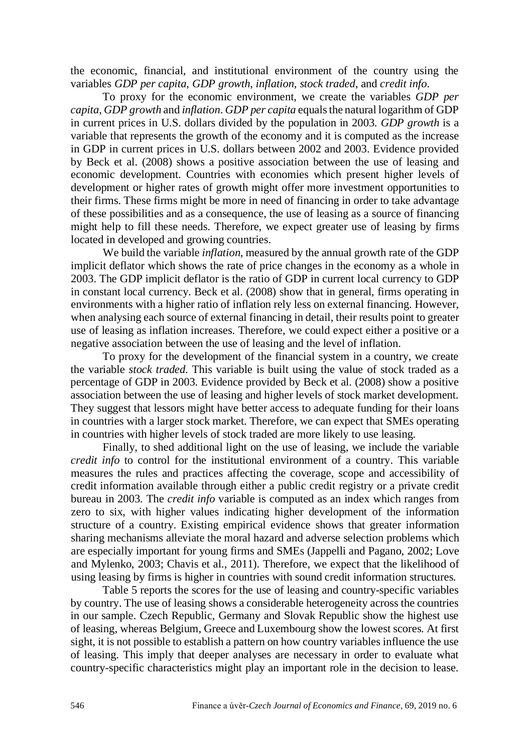the economic, financial, and institutional environment of the country using the variables *GDP per capita*, *GDP growth*, *inflation*, *stock traded*, and *credit info*.

To proxy for the economic environment, we create the variables *GDP per capita*, *GDP growth* and *inflation*. *GDP per capita* equalsthe natural logarithm of GDP in current prices in U.S. dollars divided by the population in 2003. *GDP growth* is a variable that represents the growth of the economy and it is computed as the increase in GDP in current prices in U.S. dollars between 2002 and 2003. Evidence provided by Beck et al. (2008) shows a positive association between the use of leasing and economic development. Countries with economies which present higher levels of development or higher rates of growth might offer more investment opportunities to their firms. These firms might be more in need of financing in order to take advantage of these possibilities and as a consequence, the use of leasing as a source of financing might help to fill these needs. Therefore, we expect greater use of leasing by firms located in developed and growing countries.

We build the variable *inflation*, measured by the annual growth rate of the GDP implicit deflator which shows the rate of price changes in the economy as a whole in 2003. The GDP implicit deflator is the ratio of GDP in current local currency to GDP in constant local currency. Beck et al. (2008) show that in general, firms operating in environments with a higher ratio of inflation rely less on external financing. However, when analysing each source of external financing in detail, their results point to greater use of leasing as inflation increases. Therefore, we could expect either a positive or a negative association between the use of leasing and the level of inflation.

To proxy for the development of the financial system in a country, we create the variable *stock traded*. This variable is built using the value of stock traded as a percentage of GDP in 2003. Evidence provided by Beck et al. (2008) show a positive association between the use of leasing and higher levels of stock market development. They suggest that lessors might have better access to adequate funding for their loans in countries with a larger stock market. Therefore, we can expect that SMEs operating in countries with higher levels of stock traded are more likely to use leasing.

Finally, to shed additional light on the use of leasing, we include the variable *credit info* to control for the institutional environment of a country. This variable measures the rules and practices affecting the coverage, scope and accessibility of credit information available through either a public credit registry or a private credit bureau in 2003. The *credit info* variable is computed as an index which ranges from zero to six, with higher values indicating higher development of the information structure of a country. Existing empirical evidence shows that greater information sharing mechanisms alleviate the moral hazard and adverse selection problems which are especially important for young firms and SMEs (Jappelli and Pagano, 2002; Love and Mylenko, 2003; Chavis et al., 2011). Therefore, we expect that the likelihood of using leasing by firms is higher in countries with sound credit information structures.

Table 5 reports the scores for the use of leasing and country-specific variables by country. The use of leasing shows a considerable heterogeneity across the countries in our sample. Czech Republic, Germany and Slovak Republic show the highest use of leasing, whereas Belgium, Greece and Luxembourg show the lowest scores. At first sight, it is not possible to establish a pattern on how country variables influence the use of leasing. This imply that deeper analyses are necessary in order to evaluate what country-specific characteristics might play an important role in the decision to lease.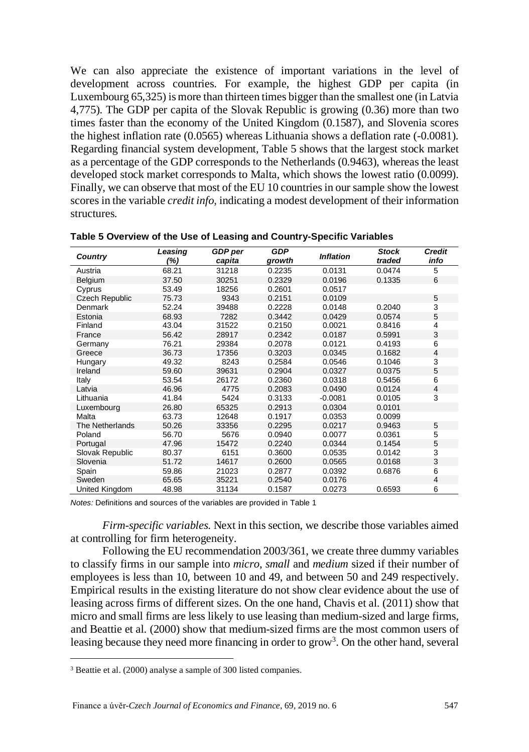We can also appreciate the existence of important variations in the level of development across countries. For example, the highest GDP per capita (in Luxembourg 65,325) is more than thirteen times bigger than the smallest one (in Latvia 4,775). The GDP per capita of the Slovak Republic is growing (0.36) more than two times faster than the economy of the United Kingdom (0.1587), and Slovenia scores the highest inflation rate (0.0565) whereas Lithuania shows a deflation rate (-0.0081). Regarding financial system development, Table 5 shows that the largest stock market as a percentage of the GDP corresponds to the Netherlands (0.9463), whereas the least developed stock market corresponds to Malta, which shows the lowest ratio (0.0099). Finally, we can observe that most of the EU 10 countries in our sample show the lowest scores in the variable *credit info*, indicating a modest development of their information structures.

| Country               | Leasing<br>(%) | <b>GDP</b> per<br>capita | <b>GDP</b><br>growth | <b>Inflation</b> | <b>Stock</b><br>traded | <b>Credit</b><br>info |
|-----------------------|----------------|--------------------------|----------------------|------------------|------------------------|-----------------------|
| Austria               | 68.21          | 31218                    | 0.2235               | 0.0131           | 0.0474                 | 5                     |
| Belgium               | 37.50          | 30251                    | 0.2329               | 0.0196           | 0.1335                 | 6                     |
| Cyprus                | 53.49          | 18256                    | 0.2601               | 0.0517           |                        |                       |
| <b>Czech Republic</b> | 75.73          | 9343                     | 0.2151               | 0.0109           |                        | 5                     |
| Denmark               | 52.24          | 39488                    | 0.2228               | 0.0148           | 0.2040                 | 3                     |
| Estonia               | 68.93          | 7282                     | 0.3442               | 0.0429           | 0.0574                 | 5                     |
| Finland               | 43.04          | 31522                    | 0.2150               | 0.0021           | 0.8416                 | 4                     |
| France                | 56.42          | 28917                    | 0.2342               | 0.0187           | 0.5991                 | 3                     |
| Germany               | 76.21          | 29384                    | 0.2078               | 0.0121           | 0.4193                 | 6                     |
| Greece                | 36.73          | 17356                    | 0.3203               | 0.0345           | 0.1682                 | $\overline{4}$        |
| Hungary               | 49.32          | 8243                     | 0.2584               | 0.0546           | 0.1046                 | 3                     |
| Ireland               | 59.60          | 39631                    | 0.2904               | 0.0327           | 0.0375                 | 5                     |
| Italy                 | 53.54          | 26172                    | 0.2360               | 0.0318           | 0.5456                 | 6                     |
| Latvia                | 46.96          | 4775                     | 0.2083               | 0.0490           | 0.0124                 | $\overline{4}$        |
| Lithuania             | 41.84          | 5424                     | 0.3133               | $-0.0081$        | 0.0105                 | 3                     |
| Luxembourg            | 26.80          | 65325                    | 0.2913               | 0.0304           | 0.0101                 |                       |
| Malta                 | 63.73          | 12648                    | 0.1917               | 0.0353           | 0.0099                 |                       |
| The Netherlands       | 50.26          | 33356                    | 0.2295               | 0.0217           | 0.9463                 | 5                     |
| Poland                | 56.70          | 5676                     | 0.0940               | 0.0077           | 0.0361                 | 5                     |
| Portugal              | 47.96          | 15472                    | 0.2240               | 0.0344           | 0.1454                 | 5                     |
| Slovak Republic       | 80.37          | 6151                     | 0.3600               | 0.0535           | 0.0142                 | 3                     |
| Slovenia              | 51.72          | 14617                    | 0.2600               | 0.0565           | 0.0168                 | 3                     |
| Spain                 | 59.86          | 21023                    | 0.2877               | 0.0392           | 0.6876                 | 6                     |
| Sweden                | 65.65          | 35221                    | 0.2540               | 0.0176           |                        | $\overline{4}$        |
| United Kingdom        | 48.98          | 31134                    | 0.1587               | 0.0273           | 0.6593                 | 6                     |

**Table 5 Overview of the Use of Leasing and Country-Specific Variables**

*Notes:* Definitions and sources of the variables are provided in Table 1

*Firm-specific variables*. Next in this section, we describe those variables aimed at controlling for firm heterogeneity.

Following the EU recommendation 2003/361, we create three dummy variables to classify firms in our sample into *micro*, *small* and *medium* sized if their number of employees is less than 10, between 10 and 49, and between 50 and 249 respectively. Empirical results in the existing literature do not show clear evidence about the use of leasing across firms of different sizes. On the one hand, Chavis et al. (2011) show that micro and small firms are less likely to use leasing than medium-sized and large firms, and Beattie et al. (2000) show that medium-sized firms are the most common users of leasing because they need more financing in order to grow<sup>[3](#page-9-0)</sup>. On the other hand, several

<span id="page-9-0"></span><sup>3</sup> Beattie et al. (2000) analyse a sample of 300 listed companies.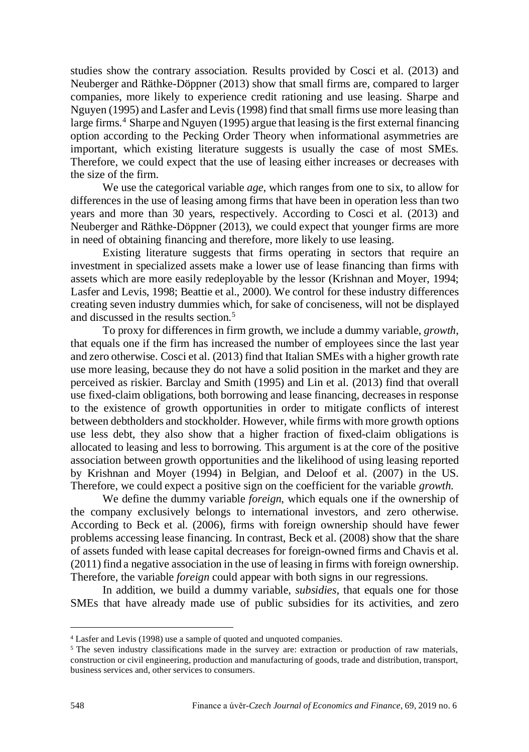studies show the contrary association. Results provided by Cosci et al. (2013) and Neuberger and Räthke-Döppner (2013) show that small firms are, compared to larger companies, more likely to experience credit rationing and use leasing. Sharpe and Nguyen (1995) and Lasfer and Levis (1998) find that small firms use more leasing than large firms.<sup>[4](#page-10-0)</sup> Sharpe and Nguyen (1995) argue that leasing is the first external financing option according to the Pecking Order Theory when informational asymmetries are important, which existing literature suggests is usually the case of most SMEs. Therefore, we could expect that the use of leasing either increases or decreases with the size of the firm.

We use the categorical variable *age*, which ranges from one to six, to allow for differences in the use of leasing among firms that have been in operation less than two years and more than 30 years, respectively. According to Cosci et al. (2013) and Neuberger and Räthke-Döppner (2013), we could expect that younger firms are more in need of obtaining financing and therefore, more likely to use leasing.

Existing literature suggests that firms operating in sectors that require an investment in specialized assets make a lower use of lease financing than firms with assets which are more easily redeployable by the lessor (Krishnan and Moyer, 1994; Lasfer and Levis, 1998; Beattie et al., 2000). We control for these industry differences creating seven industry dummies which, for sake of conciseness, will not be displayed and discussed in the results section.[5](#page-10-1)

To proxy for differences in firm growth, we include a dummy variable, *growth*, that equals one if the firm has increased the number of employees since the last year and zero otherwise. Cosci et al. (2013) find that Italian SMEs with a higher growth rate use more leasing, because they do not have a solid position in the market and they are perceived as riskier. Barclay and Smith (1995) and Lin et al. (2013) find that overall use fixed-claim obligations, both borrowing and lease financing, decreases in response to the existence of growth opportunities in order to mitigate conflicts of interest between debtholders and stockholder. However, while firms with more growth options use less debt, they also show that a higher fraction of fixed-claim obligations is allocated to leasing and less to borrowing. This argument is at the core of the positive association between growth opportunities and the likelihood of using leasing reported by Krishnan and Moyer (1994) in Belgian, and Deloof et al. (2007) in the US. Therefore, we could expect a positive sign on the coefficient for the variable *growth*.

We define the dummy variable *foreign*, which equals one if the ownership of the company exclusively belongs to international investors, and zero otherwise. According to Beck et al. (2006), firms with foreign ownership should have fewer problems accessing lease financing. In contrast, Beck et al. (2008) show that the share of assets funded with lease capital decreases for foreign-owned firms and Chavis et al. (2011) find a negative association in the use of leasing in firms with foreign ownership. Therefore, the variable *foreign* could appear with both signs in our regressions.

In addition, we build a dummy variable, *subsidies*, that equals one for those SMEs that have already made use of public subsidies for its activities, and zero

<span id="page-10-0"></span><sup>4</sup> Lasfer and Levis (1998) use a sample of quoted and unquoted companies.

<span id="page-10-1"></span><sup>&</sup>lt;sup>5</sup> The seven industry classifications made in the survey are: extraction or production of raw materials, construction or civil engineering, production and manufacturing of goods, trade and distribution, transport, business services and, other services to consumers.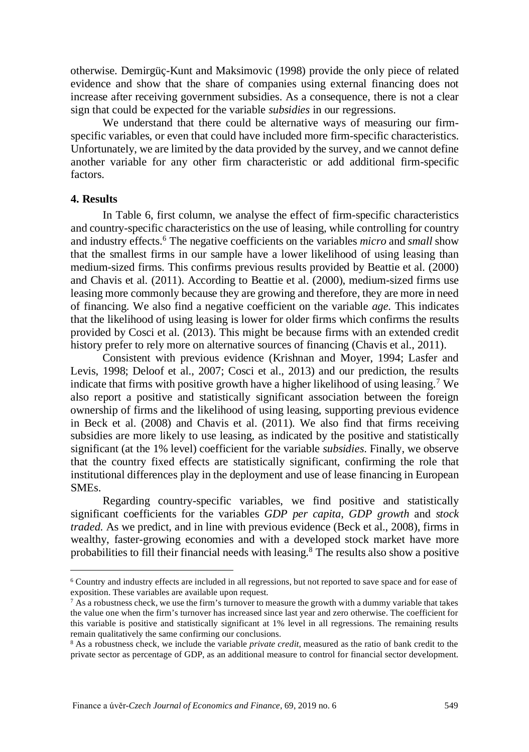otherwise. Demirgüç-Kunt and Maksimovic (1998) provide the only piece of related evidence and show that the share of companies using external financing does not increase after receiving government subsidies. As a consequence, there is not a clear sign that could be expected for the variable *subsidies* in our regressions.

We understand that there could be alternative ways of measuring our firmspecific variables, or even that could have included more firm-specific characteristics. Unfortunately, we are limited by the data provided by the survey, and we cannot define another variable for any other firm characteristic or add additional firm-specific factors.

# **4. Results**

In Table 6, first column, we analyse the effect of firm-specific characteristics and country-specific characteristics on the use of leasing, while controlling for country and industry effects.[6](#page-11-0) The negative coefficients on the variables *micro* and *small* show that the smallest firms in our sample have a lower likelihood of using leasing than medium-sized firms. This confirms previous results provided by Beattie et al. (2000) and Chavis et al. (2011). According to Beattie et al. (2000), medium-sized firms use leasing more commonly because they are growing and therefore, they are more in need of financing. We also find a negative coefficient on the variable *age*. This indicates that the likelihood of using leasing is lower for older firms which confirms the results provided by Cosci et al. (2013). This might be because firms with an extended credit history prefer to rely more on alternative sources of financing (Chavis et al., 2011).

Consistent with previous evidence (Krishnan and Moyer, 1994; Lasfer and Levis, 1998; Deloof et al., 2007; Cosci et al., 2013) and our prediction, the results indicate that firms with positive growth have a higher likelihood of using leasing.<sup>[7](#page-11-1)</sup> We also report a positive and statistically significant association between the foreign ownership of firms and the likelihood of using leasing, supporting previous evidence in Beck et al. (2008) and Chavis et al. (2011). We also find that firms receiving subsidies are more likely to use leasing, as indicated by the positive and statistically significant (at the 1% level) coefficient for the variable *subsidies*. Finally, we observe that the country fixed effects are statistically significant, confirming the role that institutional differences play in the deployment and use of lease financing in European SMEs.

Regarding country-specific variables, we find positive and statistically significant coefficients for the variables *GDP per capita*, *GDP growth* and *stock traded*. As we predict, and in line with previous evidence (Beck et al., 2008), firms in wealthy, faster-growing economies and with a developed stock market have more probabilities to fill their financial needs with leasing[.8](#page-11-2) The results also show a positive

<span id="page-11-0"></span><sup>6</sup> Country and industry effects are included in all regressions, but not reported to save space and for ease of exposition. These variables are available upon request.

<span id="page-11-1"></span> $7$  As a robustness check, we use the firm's turnover to measure the growth with a dummy variable that takes the value one when the firm's turnover has increased since last year and zero otherwise. The coefficient for this variable is positive and statistically significant at 1% level in all regressions. The remaining results remain qualitatively the same confirming our conclusions.

<span id="page-11-2"></span><sup>8</sup> As a robustness check, we include the variable *private credit*, measured as the ratio of bank credit to the private sector as percentage of GDP, as an additional measure to control for financial sector development.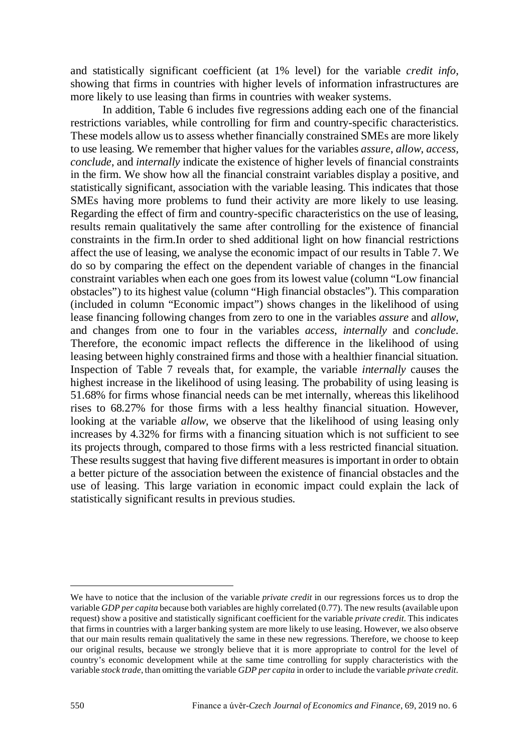and statistically significant coefficient (at 1% level) for the variable *credit info,* showing that firms in countries with higher levels of information infrastructures are more likely to use leasing than firms in countries with weaker systems.

In addition, Table 6 includes five regressions adding each one of the financial restrictions variables, while controlling for firm and country-specific characteristics. These models allow usto assess whether financially constrained SMEs are more likely to use leasing. We remember that higher values for the variables *assure*, *allow*, *access, conclude*, and *internally* indicate the existence of higher levels of financial constraints in the firm. We show how all the financial constraint variables display a positive, and statistically significant, association with the variable leasing. This indicates that those SMEs having more problems to fund their activity are more likely to use leasing. Regarding the effect of firm and country-specific characteristics on the use of leasing, results remain qualitatively the same after controlling for the existence of financial constraints in the firm.In order to shed additional light on how financial restrictions affect the use of leasing, we analyse the economic impact of our results in Table 7. We do so by comparing the effect on the dependent variable of changes in the financial constraint variables when each one goes from its lowest value (column "Low financial obstacles") to its highest value (column "High financial obstacles"). This comparation (included in column "Economic impact") shows changes in the likelihood of using lease financing following changes from zero to one in the variables *assure* and *allow*, and changes from one to four in the variables *access*, *internally* and *conclude*. Therefore, the economic impact reflects the difference in the likelihood of using leasing between highly constrained firms and those with a healthier financial situation. Inspection of Table 7 reveals that, for example, the variable *internally* causes the highest increase in the likelihood of using leasing. The probability of using leasing is 51.68% for firms whose financial needs can be met internally, whereas this likelihood rises to 68.27% for those firms with a less healthy financial situation. However, looking at the variable *allow*, we observe that the likelihood of using leasing only increases by 4.32% for firms with a financing situation which is not sufficient to see its projects through, compared to those firms with a less restricted financial situation. These results suggest that having five different measures is important in order to obtain a better picture of the association between the existence of financial obstacles and the use of leasing. This large variation in economic impact could explain the lack of statistically significant results in previous studies.

We have to notice that the inclusion of the variable *private credit* in our regressions forces us to drop the variable *GDP per capita* because both variables are highly correlated (0.77). The new results (available upon request) show a positive and statistically significant coefficient for the variable *private credit*. This indicates that firms in countries with a larger banking system are more likely to use leasing. However, we also observe that our main results remain qualitatively the same in these new regressions. Therefore, we choose to keep our original results, because we strongly believe that it is more appropriate to control for the level of country's economic development while at the same time controlling for supply characteristics with the variable *stock trade*, than omitting the variable *GDP per capita* in order to include the variable *private credit*.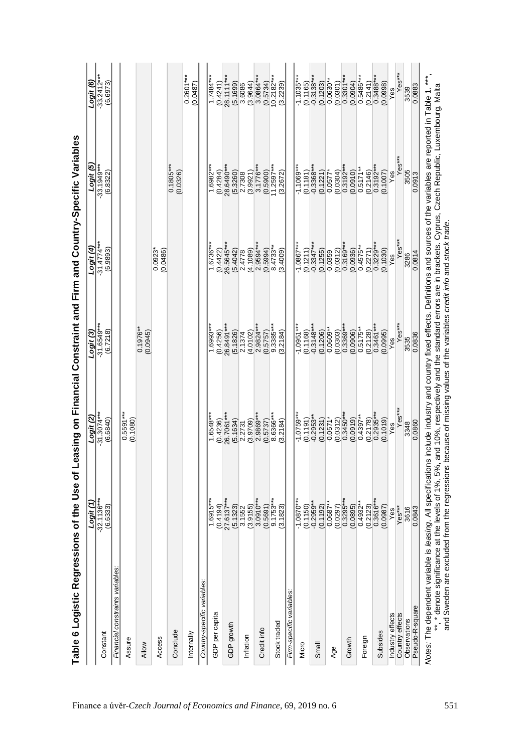| $-32.1136***$<br>$\frac{(0.4194)}{27.6137***}$<br>Logit (1<br>$1.6915**$<br>(6.6333)<br>Financial constraints variables:<br>Country-specific variables:<br>GDP per capita<br>GDP growth<br>Conclude<br>Internally<br>Constant<br>Access<br>Assure<br>Allow | $0.5591***$<br>$-31.3074***$<br>(6.6840)<br>(0.1080) | $-31.6549***$<br>Logit (3)   | $-31.4774***$         |                            |                                                                                                      |
|------------------------------------------------------------------------------------------------------------------------------------------------------------------------------------------------------------------------------------------------------------|------------------------------------------------------|------------------------------|-----------------------|----------------------------|------------------------------------------------------------------------------------------------------|
|                                                                                                                                                                                                                                                            |                                                      |                              |                       | $-33.1949**$               |                                                                                                      |
|                                                                                                                                                                                                                                                            |                                                      | (6.7218)                     | (6.9893)              | (6.8322)                   | $-33.2412***$<br>$(6.6973)$                                                                          |
|                                                                                                                                                                                                                                                            |                                                      |                              |                       |                            |                                                                                                      |
|                                                                                                                                                                                                                                                            |                                                      |                              |                       |                            |                                                                                                      |
|                                                                                                                                                                                                                                                            |                                                      | $0.1976***$<br>(0.0945)      |                       |                            |                                                                                                      |
|                                                                                                                                                                                                                                                            |                                                      |                              | 0.0923*<br>(0.0486)   |                            |                                                                                                      |
|                                                                                                                                                                                                                                                            |                                                      |                              |                       | $0.1805***$<br>(0.0326)    |                                                                                                      |
|                                                                                                                                                                                                                                                            |                                                      |                              |                       |                            | $0.2601***$<br>$(0.0487)$                                                                            |
|                                                                                                                                                                                                                                                            |                                                      |                              |                       |                            |                                                                                                      |
|                                                                                                                                                                                                                                                            | (0.4236)                                             | $1.6993**$                   | 1.6736*               | $1.6982**$                 | $1.7484**$                                                                                           |
|                                                                                                                                                                                                                                                            |                                                      | (0.4256)                     | (0.4422)              | $(0.4284)$<br>$28.6490***$ | $\begin{array}{l} (0.4241) \\ 28.1111*** \\ (5.1699) \\ 3.6086 \\ (3.9644) \\ 3.0864*** \end{array}$ |
|                                                                                                                                                                                                                                                            | 26.7061***                                           | 26.8491***                   | 26.5645***            |                            |                                                                                                      |
| (5.1323)                                                                                                                                                                                                                                                   | (5.1634)                                             | (5.1826)                     | (5.4042)              | $(5.3260)$<br>$2.7308$     |                                                                                                      |
| 3.1552<br>Inflation                                                                                                                                                                                                                                        | 2.2731                                               | 2.1374                       | 2.4778                |                            |                                                                                                      |
| (3.9155)                                                                                                                                                                                                                                                   | (3.9709)                                             | (4.0102)                     | (4.1089)              | $(3.9921)$<br>$3.1776***$  |                                                                                                      |
| $3.0910***$<br>(0.5691)<br>Credit info                                                                                                                                                                                                                     | 2.9869***<br>(0.5737)                                | 2.9824***                    | 2.9594**<br>(0.5994)  | (0.5900)                   |                                                                                                      |
|                                                                                                                                                                                                                                                            |                                                      | $\frac{(0.5757)}{9.3385***}$ |                       |                            |                                                                                                      |
| $9.1753***$<br>(3.1823)<br>Stock traded                                                                                                                                                                                                                    | 8.6366***<br>(3.2184)                                | (3.2184)                     | $8.4733*$<br>(3.4009) | $11.2597***$<br>(3.2672)   | $\begin{array}{c} (0.5734) \\ 10.2182*** \end{array}$                                                |
| Firm-specific variables                                                                                                                                                                                                                                    |                                                      |                              |                       |                            |                                                                                                      |
| $-1.0870***$                                                                                                                                                                                                                                               | $-1.0759***$                                         | $-1.0951***$                 | $-1.0867***$          | $-1.1069***$               | $-1.1035***$                                                                                         |
| $(0.1150)$<br>$-0.2959**$<br>Micro                                                                                                                                                                                                                         | (0.1191)                                             | (0.1168)                     | (0.1211)              | (0.1181)                   | $\frac{(0.1165)}{0.3138***}$                                                                         |
| Small                                                                                                                                                                                                                                                      | $-0.2953**$                                          | $-0.3148***$                 | $-0.3347***$          | $-0.3368***$               |                                                                                                      |
| (0.1192)                                                                                                                                                                                                                                                   | (0.1231)                                             | (0.1206)                     | (0.1255)              | (0.1221)                   | $(0.1203)$<br>$-0.0630**$                                                                            |
| $-0.0687**$<br>Age                                                                                                                                                                                                                                         | $-0.0571*$                                           | $-0.0609**$                  | $-0.0359$             | $-0.0577$                  |                                                                                                      |
| $(0.0297)$<br>$0.3295***$                                                                                                                                                                                                                                  | (0.0312)                                             | (0.0303)                     | (0.0312)              | $(0.0304)$<br>$0.3192***$  | $\begin{array}{c} (0.0301) \\ 0.3301*** \end{array}$                                                 |
| Growth                                                                                                                                                                                                                                                     | $0.3450***$                                          | 0.3369**                     | $0.3169***$           |                            |                                                                                                      |
| $(0.0895)$<br>$0.4932**$                                                                                                                                                                                                                                   | (0.0919)                                             | (0.0906)                     | (0.0936)              | $(0.0910)$<br>$0.5171**$   | $(0.0904)$<br>$0.5486***$                                                                            |
| Foreign                                                                                                                                                                                                                                                    | $0.4397**$                                           | $0.5175$ *                   | $0.4575*$             |                            |                                                                                                      |
| (0.2123)                                                                                                                                                                                                                                                   | (0.2178)                                             | (0.2128)                     | (0.2271)              | (0.2146)                   | (0.2141)                                                                                             |
| $0.3616***$<br>Subsides                                                                                                                                                                                                                                    | $0.2935***$                                          | $0.3461***$                  | $0.3229***$           | $0.3192***$                | $0.3488***$                                                                                          |
| (0.0987)                                                                                                                                                                                                                                                   | (0.1019)                                             | (0.0995)                     | (0.1030)              | (0.1007)                   | (0.0998)                                                                                             |
| Yes<br>Industry effects                                                                                                                                                                                                                                    | Yes                                                  | Yes                          | Yes                   | Yes                        | Yes                                                                                                  |
| Yes***<br>Country effects                                                                                                                                                                                                                                  | Yes***                                               | Yes***                       | Yes***                | Yes***                     |                                                                                                      |
| 3616<br>Observations                                                                                                                                                                                                                                       | 3348                                                 | 3535                         | 3286                  | 3505                       | 3539                                                                                                 |
| 0.0843<br>Pseudo-R-square                                                                                                                                                                                                                                  | 0.0860                                               | 0.0836                       | 0.0814                | 0.0913                     | 0.0883                                                                                               |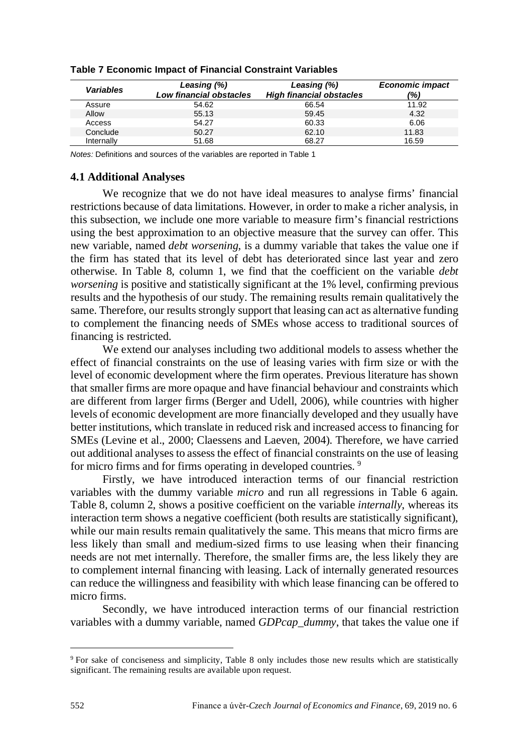| Variables  | Leasing (%)<br>Low financial obstacles | Leasing (%)<br><b>High financial obstacles</b> | <b>Economic impact</b><br>(%) |
|------------|----------------------------------------|------------------------------------------------|-------------------------------|
| Assure     | 54.62                                  | 66.54                                          | 11.92                         |
| Allow      | 55.13                                  | 59.45                                          | 4.32                          |
| Access     | 54.27                                  | 60.33                                          | 6.06                          |
| Conclude   | 50.27                                  | 62.10                                          | 11.83                         |
| Internally | 51.68                                  | 68.27                                          | 16.59                         |

**Table 7 Economic Impact of Financial Constraint Variables**

*Notes:* Definitions and sources of the variables are reported in Table 1

### **4.1 Additional Analyses**

We recognize that we do not have ideal measures to analyse firms' financial restrictions because of data limitations. However, in order to make a richer analysis, in this subsection, we include one more variable to measure firm's financial restrictions using the best approximation to an objective measure that the survey can offer. This new variable, named *debt worsening*, is a dummy variable that takes the value one if the firm has stated that its level of debt has deteriorated since last year and zero otherwise. In Table 8, column 1, we find that the coefficient on the variable *debt worsening* is positive and statistically significant at the 1% level, confirming previous results and the hypothesis of our study. The remaining results remain qualitatively the same. Therefore, our results strongly support that leasing can act as alternative funding to complement the financing needs of SMEs whose access to traditional sources of financing is restricted.

We extend our analyses including two additional models to assess whether the effect of financial constraints on the use of leasing varies with firm size or with the level of economic development where the firm operates. Previous literature has shown that smaller firms are more opaque and have financial behaviour and constraints which are different from larger firms (Berger and Udell, 2006), while countries with higher levels of economic development are more financially developed and they usually have better institutions, which translate in reduced risk and increased access to financing for SMEs (Levine et al., 2000; Claessens and Laeven, 2004). Therefore, we have carried out additional analyses to assess the effect of financial constraints on the use of leasing for micro firms and for firms operating in developed countries.<sup>[9](#page-14-0)</sup>

Firstly, we have introduced interaction terms of our financial restriction variables with the dummy variable *micro* and run all regressions in Table 6 again*.* Table 8, column 2, shows a positive coefficient on the variable *internally*, whereas its interaction term shows a negative coefficient (both results are statistically significant), while our main results remain qualitatively the same. This means that micro firms are less likely than small and medium-sized firms to use leasing when their financing needs are not met internally. Therefore, the smaller firms are, the less likely they are to complement internal financing with leasing. Lack of internally generated resources can reduce the willingness and feasibility with which lease financing can be offered to micro firms.

Secondly, we have introduced interaction terms of our financial restriction variables with a dummy variable, named *GDPcap\_dummy*, that takes the value one if

<span id="page-14-0"></span><sup>&</sup>lt;sup>9</sup> For sake of conciseness and simplicity, Table 8 only includes those new results which are statistically significant. The remaining results are available upon request.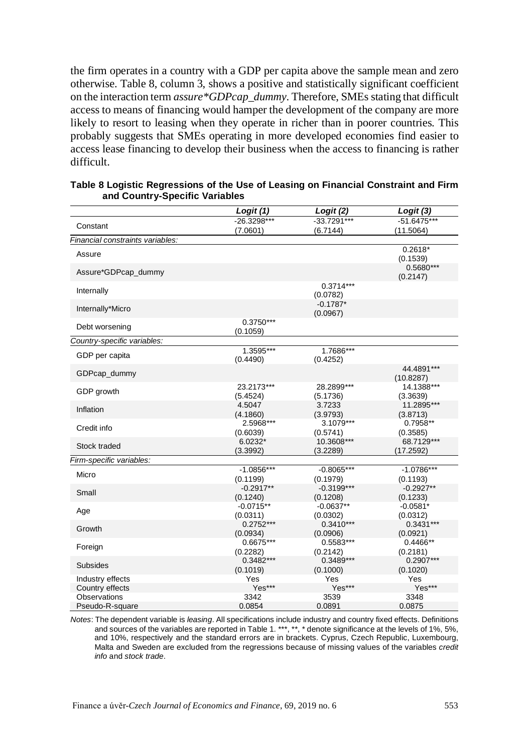the firm operates in a country with a GDP per capita above the sample mean and zero otherwise. Table 8, column 3, shows a positive and statistically significant coefficient on the interaction term *assure\*GDPcap\_dummy*. Therefore, SMEs stating that difficult access to means of financing would hamper the development of the company are more likely to resort to leasing when they operate in richer than in poorer countries. This probably suggests that SMEs operating in more developed economies find easier to access lease financing to develop their business when the access to financing is rather difficult.

|                                  | Logit (1)               | Logit (2)               | Logit (3)               |
|----------------------------------|-------------------------|-------------------------|-------------------------|
| Constant                         | $-26.3298***$           | $-33.7291***$           | $-51.6475***$           |
|                                  | (7.0601)                | (6.7144)                | (11.5064)               |
| Financial constraints variables: |                         |                         |                         |
| Assure                           |                         |                         | $0.2618*$               |
|                                  |                         |                         | (0.1539)                |
| Assure*GDPcap_dummy              |                         |                         | $0.5680***$             |
|                                  |                         |                         | (0.2147)                |
| Internally                       |                         | $0.3714***$             |                         |
|                                  |                         | (0.0782)<br>$-0.1787*$  |                         |
| Internally*Micro                 |                         | (0.0967)                |                         |
|                                  | $0.3750***$             |                         |                         |
| Debt worsening                   | (0.1059)                |                         |                         |
| Country-specific variables:      |                         |                         |                         |
|                                  | 1.3595***               | 1.7686***               |                         |
| GDP per capita                   | (0.4490)                | (0.4252)                |                         |
| GDPcap dummy                     |                         |                         | 44.4891***              |
|                                  |                         |                         | (10.8287)               |
| GDP growth                       | 23.2173***              | 28.2899***              | 14.1388***              |
|                                  | (5.4524)<br>4.5047      | (5.1736)                | (3.3639)                |
| Inflation                        | (4.1860)                | 3.7233<br>(3.9793)      | 11.2895***<br>(3.8713)  |
|                                  | 2.5968***               | 3.1079***               | 0.7958**                |
| Credit info                      | (0.6039)                | (0.5741)                | (0.3585)                |
|                                  | 6.0232*                 | 10.3608***              | 68.7129***              |
| Stock traded                     | (3.3992)                | (3.2289)                | (17.2592)               |
| Firm-specific variables:         |                         |                         |                         |
| Micro                            | $-1.0856***$            | $-0.8065***$            | $-1.0786***$            |
|                                  | (0.1199)                | (0.1979)                | (0.1193)                |
| Small                            | $-0.2917**$             | $-0.3199***$            | $-0.2927**$             |
|                                  | (0.1240)                | (0.1208)                | (0.1233)                |
| Age                              | $-0.0715**$             | $-0.0637**$             | $-0.0581*$              |
|                                  | (0.0311)                | (0.0302)                | (0.0312)                |
| Growth                           | $0.2752***$<br>(0.0934) | $0.3410***$<br>(0.0906) | $0.3431***$<br>(0.0921) |
|                                  | 0.6675***               | 0.5583***               | $0.4466**$              |
| Foreign                          | (0.2282)                | (0.2142)                | (0.2181)                |
|                                  | $0.3482***$             | $0.3489***$             | 0.2907***               |
| Subsides                         | (0.1019)                | (0.1000)                | (0.1020)                |
| Industry effects                 | Yes                     | Yes                     | Yes                     |
| Country effects                  | Yes***                  | Yes***                  | Yes***                  |
| <b>Observations</b>              | 3342                    | 3539                    | 3348                    |
| Pseudo-R-square                  | 0.0854                  | 0.0891                  | 0.0875                  |

| Table 8 Logistic Regressions of the Use of Leasing on Financial Constraint and Firm |  |
|-------------------------------------------------------------------------------------|--|
| and Country-Specific Variables                                                      |  |

*Notes*: The dependent variable is *leasing*. All specifications include industry and country fixed effects. Definitions and sources of the variables are reported in Table 1. \*\*\*, \*\*, \* denote significance at the levels of 1%, 5%, and 10%, respectively and the standard errors are in brackets. Cyprus, Czech Republic, Luxembourg, Malta and Sweden are excluded from the regressions because of missing values of the variables *credit info* and *stock trade*.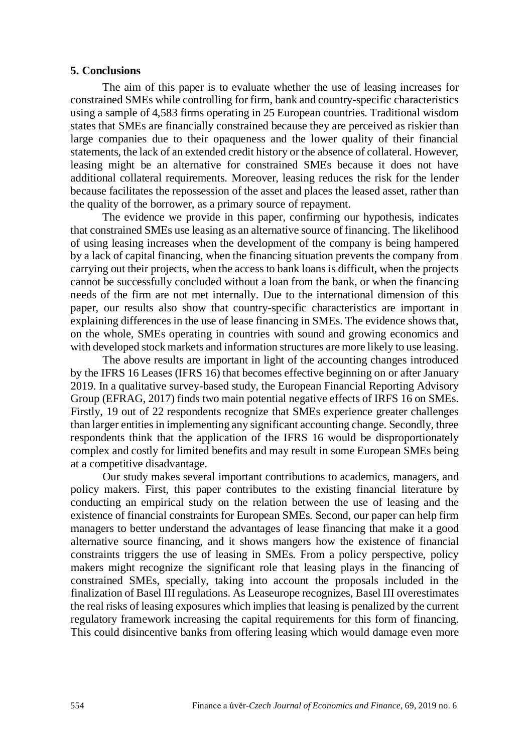### **5. Conclusions**

The aim of this paper is to evaluate whether the use of leasing increases for constrained SMEs while controlling for firm, bank and country-specific characteristics using a sample of 4,583 firms operating in 25 European countries. Traditional wisdom states that SMEs are financially constrained because they are perceived as riskier than large companies due to their opaqueness and the lower quality of their financial statements, the lack of an extended credit history or the absence of collateral. However, leasing might be an alternative for constrained SMEs because it does not have additional collateral requirements. Moreover, leasing reduces the risk for the lender because facilitates the repossession of the asset and places the leased asset, rather than the quality of the borrower, as a primary source of repayment.

The evidence we provide in this paper, confirming our hypothesis, indicates that constrained SMEs use leasing as an alternative source of financing. The likelihood of using leasing increases when the development of the company is being hampered by a lack of capital financing, when the financing situation prevents the company from carrying out their projects, when the access to bank loans is difficult, when the projects cannot be successfully concluded without a loan from the bank, or when the financing needs of the firm are not met internally. Due to the international dimension of this paper, our results also show that country-specific characteristics are important in explaining differences in the use of lease financing in SMEs. The evidence shows that, on the whole, SMEs operating in countries with sound and growing economics and with developed stock markets and information structures are more likely to use leasing.

The above results are important in light of the accounting changes introduced by the IFRS 16 Leases (IFRS 16) that becomes effective beginning on or after January 2019. In a qualitative survey-based study, the European Financial Reporting Advisory Group (EFRAG, 2017) finds two main potential negative effects of IRFS 16 on SMEs. Firstly, 19 out of 22 respondents recognize that SMEs experience greater challenges than larger entities in implementing any significant accounting change. Secondly, three respondents think that the application of the IFRS 16 would be disproportionately complex and costly for limited benefits and may result in some European SMEs being at a competitive disadvantage.

Our study makes several important contributions to academics, managers, and policy makers. First, this paper contributes to the existing financial literature by conducting an empirical study on the relation between the use of leasing and the existence of financial constraints for European SMEs. Second, our paper can help firm managers to better understand the advantages of lease financing that make it a good alternative source financing, and it shows mangers how the existence of financial constraints triggers the use of leasing in SMEs. From a policy perspective, policy makers might recognize the significant role that leasing plays in the financing of constrained SMEs, specially, taking into account the proposals included in the finalization of Basel III regulations. As Leaseurope recognizes, Basel III overestimates the real risks of leasing exposures which impliesthat leasing is penalized by the current regulatory framework increasing the capital requirements for this form of financing. This could disincentive banks from offering leasing which would damage even more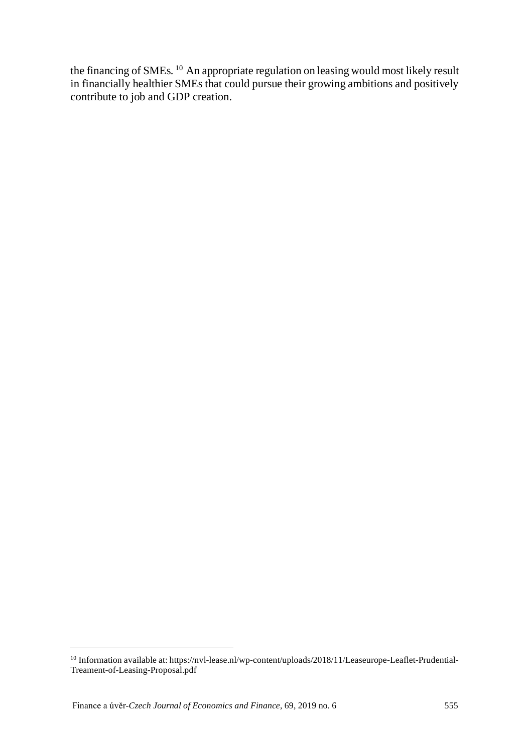the financing of SMEs. <sup>[10](#page-17-0)</sup> An appropriate regulation on leasing would most likely result in financially healthier SMEs that could pursue their growing ambitions and positively contribute to job and GDP creation.

<span id="page-17-0"></span><sup>10</sup> Information available at: [https://nvl-lease.nl/wp-content/uploads/2018/11/Leaseurope-Leaflet-Prudential-](https://nvl-lease.nl/wp-content/uploads/2018/11/Leaseurope-Leaflet-Prudential-Treament-of-Leasing-Proposal.pdf)[Treament-of-Leasing-Proposal.pdf](https://nvl-lease.nl/wp-content/uploads/2018/11/Leaseurope-Leaflet-Prudential-Treament-of-Leasing-Proposal.pdf)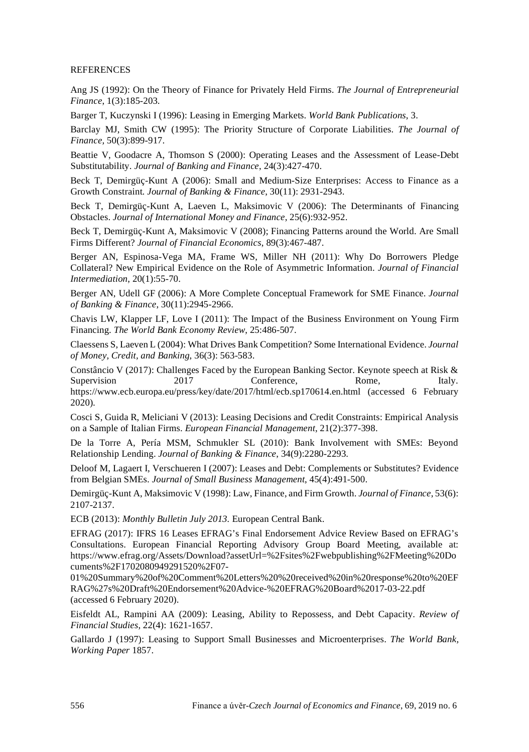#### **REFERENCES**

Ang JS (1992): On the Theory of Finance for Privately Held Firms. *The Journal of Entrepreneurial Finance*, 1(3):185-203.

Barger T, Kuczynski I (1996): Leasing in Emerging Markets. *World Bank Publications*, 3.

Barclay MJ, Smith CW (1995): The Priority Structure of Corporate Liabilities. *The Journal of Finance,* 50(3):899-917.

Beattie V, Goodacre A, Thomson S (2000): Operating Leases and the Assessment of Lease-Debt Substitutability. *Journal of Banking and Finance*, 24(3):427-470.

Beck T, Demirgüç-Kunt A (2006): Small and Medium-Size Enterprises: Access to Finance as a Growth Constraint. *Journal of Banking & Finance*, 30(11): 2931-2943.

Beck T, Demirgüç-Kunt A, Laeven L, Maksimovic V (2006): The Determinants of Financing Obstacles. *Journal of International Money and Finance*, 25(6):932-952.

Beck T, Demirgüç-Kunt A, Maksimovic V (2008); Financing Patterns around the World. Are Small Firms Different? *Journal of Financial Economics*, 89(3):467-487.

Berger AN, Espinosa-Vega MA, Frame WS, Miller NH (2011): Why Do Borrowers Pledge Collateral? New Empirical Evidence on the Role of Asymmetric Information. *Journal of Financial Intermediation*, 20(1):55-70.

Berger AN, Udell GF (2006): A More Complete Conceptual Framework for SME Finance. *Journal of Banking & Finance*, 30(11):2945-2966.

Chavis LW, Klapper LF, Love I (2011): The Impact of the Business Environment on Young Firm Financing. *The World Bank Economy Review*, 25:486-507.

Claessens S, Laeven L (2004): What Drives Bank Competition? Some International Evidence. *Journal of Money, Credit, and Banking*, 36(3): 563-583.

Constâncio V (2017): Challenges Faced by the European Banking Sector. Keynote speech at Risk & Supervision 2017 Conference, Rome, Italy. https://www.ecb.europa.eu/press/key/date/2017/html/ecb.sp170614.en.html (accessed 6 February 2020).

Cosci S, Guida R, Meliciani V (2013): Leasing Decisions and Credit Constraints: Empirical Analysis on a Sample of Italian Firms. *European Financial Management*, 21(2):377-398.

De la Torre A, Pería MSM, Schmukler SL (2010): Bank Involvement with SMEs: Beyond Relationship Lending. *Journal of Banking & Finance*, 34(9):2280-2293.

Deloof M, Lagaert I, Verschueren I (2007): Leases and Debt: Complements or Substitutes? Evidence from Belgian SMEs. *Journal of Small Business Management*, 45(4):491-500.

Demirgüç-Kunt A, Maksimovic V (1998): Law, Finance, and Firm Growth. *Journal of Finance*, 53(6): 2107-2137.

ECB (2013): *Monthly Bulletin July 2013.* European Central Bank.

EFRAG (2017): IFRS 16 Leases EFRAG's Final Endorsement Advice Review Based on EFRAG's Consultations. European Financial Reporting Advisory Group Board Meeting, available at: [https://www.efrag.org/Assets/Download?assetUrl=%2Fsites%2Fwebpublishing%2FMeeting%20Do](https://www.efrag.org/Assets/Download?assetUrl=%2Fsites%2Fwebpublishing%2FMeeting%20Documents%2F1702080949291520%2F07-01%20Summary%20of%20Comment%20Letters%20%20received%20in%20response%20to%20EFRAG%27s%20Draft%20Endorsement%20Advice-%20EFRAG%20Board%2017-03-22.pdf) [cuments%2F1702080949291520%2F07-](https://www.efrag.org/Assets/Download?assetUrl=%2Fsites%2Fwebpublishing%2FMeeting%20Documents%2F1702080949291520%2F07-01%20Summary%20of%20Comment%20Letters%20%20received%20in%20response%20to%20EFRAG%27s%20Draft%20Endorsement%20Advice-%20EFRAG%20Board%2017-03-22.pdf)

[01%20Summary%20of%20Comment%20Letters%20%20received%20in%20response%20to%20EF](https://www.efrag.org/Assets/Download?assetUrl=%2Fsites%2Fwebpublishing%2FMeeting%20Documents%2F1702080949291520%2F07-01%20Summary%20of%20Comment%20Letters%20%20received%20in%20response%20to%20EFRAG%27s%20Draft%20Endorsement%20Advice-%20EFRAG%20Board%2017-03-22.pdf) [RAG%27s%20Draft%20Endorsement%20Advice-%20EFRAG%20Board%2017-03-22.pdf](https://www.efrag.org/Assets/Download?assetUrl=%2Fsites%2Fwebpublishing%2FMeeting%20Documents%2F1702080949291520%2F07-01%20Summary%20of%20Comment%20Letters%20%20received%20in%20response%20to%20EFRAG%27s%20Draft%20Endorsement%20Advice-%20EFRAG%20Board%2017-03-22.pdf) (accessed 6 February 2020).

Eisfeldt AL, Rampini AA (2009): Leasing, Ability to Repossess, and Debt Capacity. *Review of Financial Studies*, 22(4): 1621-1657.

Gallardo J (1997): Leasing to Support Small Businesses and Microenterprises. *The World Bank, Working Paper* 1857.